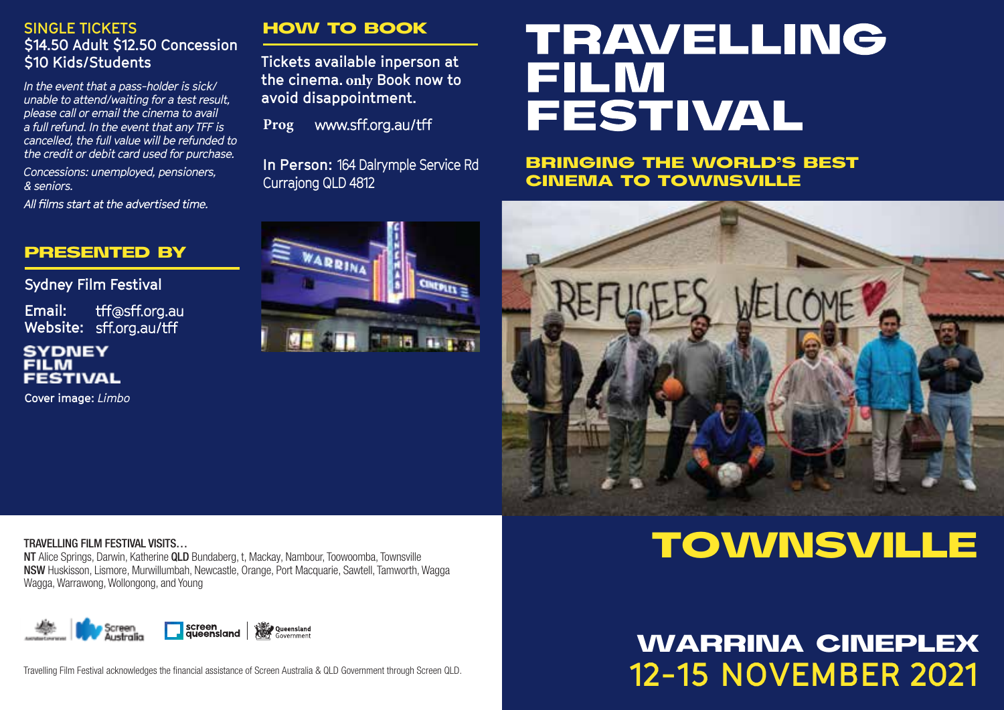#### **SINGLE TICKETS \$14.50 Adult \$12.50 Concession \$10 Kids/Students**

*In the event that a pass-holder is sick/ unable to attend/waiting for a test result, please call or email the cinema to avail a full refund. In the event that any TFF is cancelled, the full value will be refunded to the credit or debit card used for purchase.*

*Concessions: unemployed, pensioners, & seniors.*

All films start at the advertised time

#### PRESENTED BY

**Sydney Film Festival**

**Email:** tff@sff.org.au Website: sff.org.au/tff

#### **SYDNEY FILM FESTIVAL**

**Cover image:** *Limbo*

#### HOW TO BOOK

**Tickets available inperson at the cinema. only Book now to avoid disappointment.** 

Prog www.sff.org.au/tff

WARRIN

**In Person:** 164 Dalrymple Service Rd Currajong QLD 4812

in them

# **TRAVELLING FILM FESTIVAL**

BRINGING THE WORLD'S BEST CINEMA TO TOWNSVILLE



#### TRAVELLING FILM FESTIVAL VISITS…

NT Alice Springs, Darwin, Katherine QLD Bundaberg, t, Mackay, Nambour, Toowoomba, Townsville NSW Huskisson, Lismore, Murwillumbah, Newcastle, Orange, Port Macquarie, Sawtell, Tamworth, Wagga Wagga, Warrawong, Wollongong, and Young



Travelling Film Festival acknowledges the financial assistance of Screen Australia & QLD Government through Screen QLD.

## TOWNSVILLE

## **12-15 NOVEMBER 2021** WARRINA CINEPLEX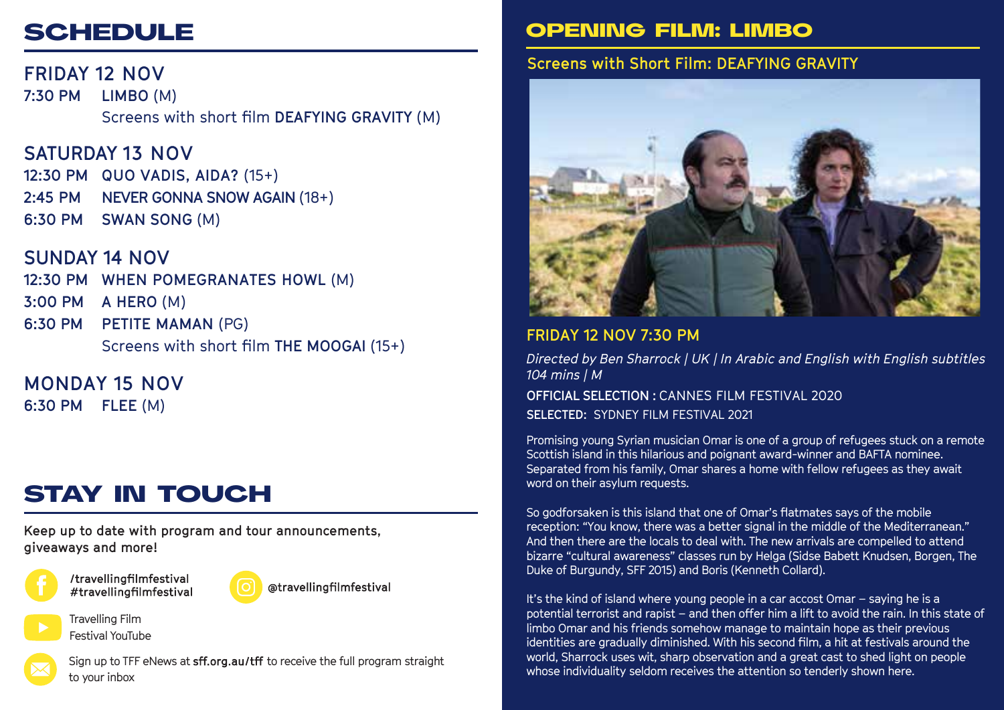## **SCHEDULE**

**FRIDAY 12 NOV 7:30 PM LIMBO** (M) Screens with short film **DEAFYING GRAVITY** (M)

## **SATURDAY 13 NOV**

**12:30 PM QUO VADIS, AIDA?** (15+) **2:45 PM NEVER GONNA SNOW AGAIN** (18+) **6:30 PM SWAN SONG** (M)

## **SUNDAY 14 NOV**

**12:30 PM WHEN POMEGRANATES HOWL** (M)

**3:00 PM A HERO** (M)

**6:30 PM PETITE MAMAN** (PG) Screens with short film **THE MOOGAI** (15+)

### **MONDAY 15 NOV**

**6:30 PM FLEE** (M)

## STAY IN TOUCH

**Keep up to date with program and tour announcements, giveaways and more!**



Travelling Film Festival YouTube



@travellingfilmfestival

Sign up to TFF eNews at sff.org.au/tff to receive the full program straight to your inbox

## OPENING FILM: LIMBO

## **Screens with Short Film: DEAFYING GRAVITY**



### **FRIDAY 12 NOV 7:30 PM**

*Directed by Ben Sharrock | UK | In Arabic and English with English subtitles 104 mins | M*  **OFFICIAL SELECTION :** CANNES FILM FESTIVAL 2020 **SELECTED:** SYDNEY FILM FESTIVAL 2021

Promising young Syrian musician Omar is one of a group of refugees stuck on a remote Scottish island in this hilarious and poignant award-winner and BAFTA nominee. Separated from his family, Omar shares a home with fellow refugees as they await word on their asylum requests.

So godforsaken is this island that one of Omar's flatmates says of the mobile reception: "You know, there was a better signal in the middle of the Mediterranean." And then there are the locals to deal with. The new arrivals are compelled to attend bizarre "cultural awareness" classes run by Helga (Sidse Babett Knudsen, Borgen, The Duke of Burgundy, SFF 2015) and Boris (Kenneth Collard).

It's the kind of island where young people in a car accost Omar – saying he is a potential terrorist and rapist – and then offer him a lift to avoid the rain. In this state of limbo Omar and his friends somehow manage to maintain hope as their previous identities are gradually diminished. With his second film, a hit at festivals around the world, Sharrock uses wit, sharp observation and a great cast to shed light on people whose individuality seldom receives the attention so tenderly shown here.